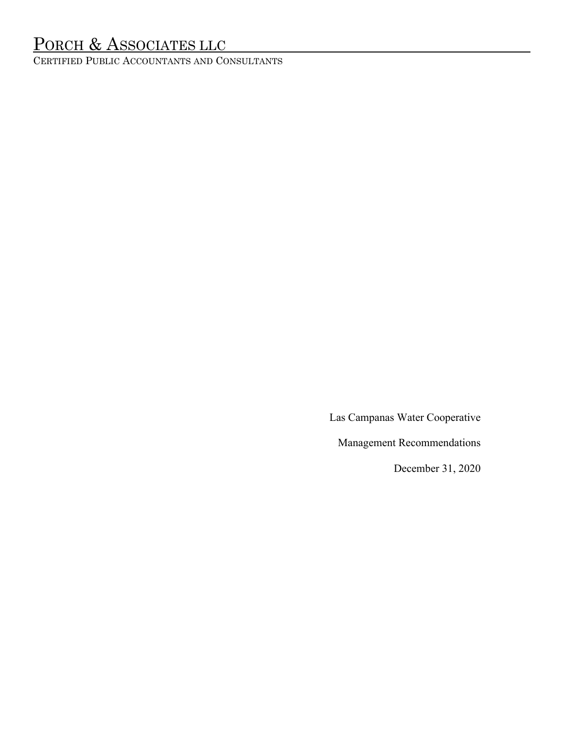### PORCH & ASSOCIATES LLC

CERTIFIED PUBLIC ACCOUNTANTS AND CONSULTANTS

Las Campanas Water Cooperative Management Recommendations December 31, 2020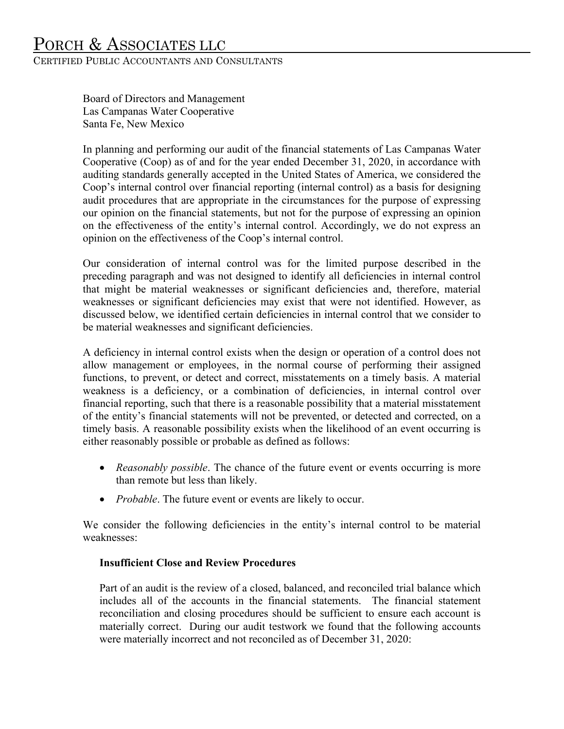# PORCH & ASSOCIATES LLC CERTIFIED PUBLIC ACCOUNTANTS AND CONSULTANTS

Board of Directors and Management Las Campanas Water Cooperative Santa Fe, New Mexico

In planning and performing our audit of the financial statements of Las Campanas Water Cooperative (Coop) as of and for the year ended December 31, 2020, in accordance with auditing standards generally accepted in the United States of America, we considered the Coop's internal control over financial reporting (internal control) as a basis for designing audit procedures that are appropriate in the circumstances for the purpose of expressing our opinion on the financial statements, but not for the purpose of expressing an opinion on the effectiveness of the entity's internal control. Accordingly, we do not express an opinion on the effectiveness of the Coop's internal control.

Our consideration of internal control was for the limited purpose described in the preceding paragraph and was not designed to identify all deficiencies in internal control that might be material weaknesses or significant deficiencies and, therefore, material weaknesses or significant deficiencies may exist that were not identified. However, as discussed below, we identified certain deficiencies in internal control that we consider to be material weaknesses and significant deficiencies.

A deficiency in internal control exists when the design or operation of a control does not allow management or employees, in the normal course of performing their assigned functions, to prevent, or detect and correct, misstatements on a timely basis. A material weakness is a deficiency, or a combination of deficiencies, in internal control over financial reporting, such that there is a reasonable possibility that a material misstatement of the entity's financial statements will not be prevented, or detected and corrected, on a timely basis. A reasonable possibility exists when the likelihood of an event occurring is either reasonably possible or probable as defined as follows:

- *Reasonably possible*. The chance of the future event or events occurring is more than remote but less than likely.
- *Probable*. The future event or events are likely to occur.

We consider the following deficiencies in the entity's internal control to be material weaknesses:

#### **Insufficient Close and Review Procedures**

Part of an audit is the review of a closed, balanced, and reconciled trial balance which includes all of the accounts in the financial statements. The financial statement reconciliation and closing procedures should be sufficient to ensure each account is materially correct. During our audit testwork we found that the following accounts were materially incorrect and not reconciled as of December 31, 2020: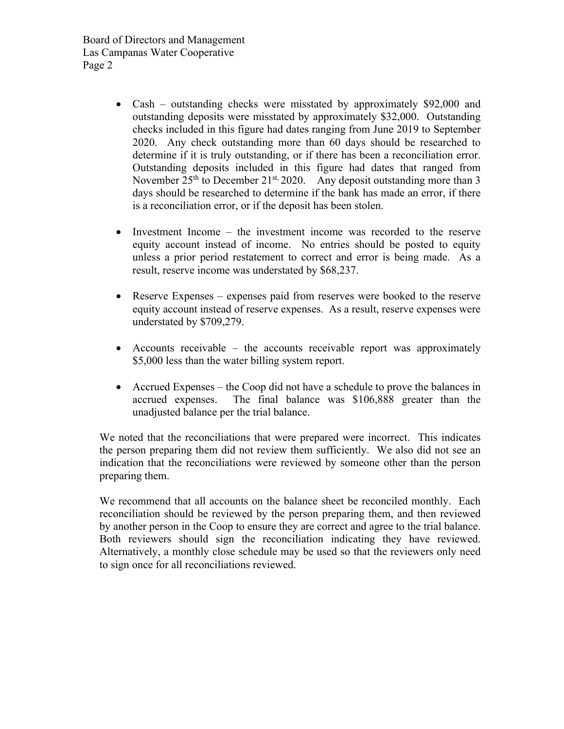Board of Directors and Management Las Campanas Water Cooperative Page 2

- Cash outstanding checks were misstated by approximately \$92,000 and outstanding deposits were misstated by approximately \$32,000. Outstanding checks included in this figure had dates ranging from June 2019 to September 2020. Any check outstanding more than 60 days should be researched to determine if it is truly outstanding, or if there has been a reconciliation error. Outstanding deposits included in this figure had dates that ranged from November  $25<sup>th</sup>$  to December  $21<sup>st</sup>$ , 2020. Any deposit outstanding more than 3 days should be researched to determine if the bank has made an error, if there is a reconciliation error, or if the deposit has been stolen.
- Investment Income the investment income was recorded to the reserve equity account instead of income. No entries should be posted to equity unless a prior period restatement to correct and error is being made. As a result, reserve income was understated by \$68,237.
- Reserve Expenses expenses paid from reserves were booked to the reserve equity account instead of reserve expenses. As a result, reserve expenses were understated by \$709,279.
- Accounts receivable the accounts receivable report was approximately \$5,000 less than the water billing system report.
- Accrued Expenses the Coop did not have a schedule to prove the balances in accrued expenses. The final balance was \$106,888 greater than the unadjusted balance per the trial balance.

We noted that the reconciliations that were prepared were incorrect. This indicates the person preparing them did not review them sufficiently. We also did not see an indication that the reconciliations were reviewed by someone other than the person preparing them.

We recommend that all accounts on the balance sheet be reconciled monthly. Each reconciliation should be reviewed by the person preparing them, and then reviewed by another person in the Coop to ensure they are correct and agree to the trial balance. Both reviewers should sign the reconciliation indicating they have reviewed. Alternatively, a monthly close schedule may be used so that the reviewers only need to sign once for all reconciliations reviewed.